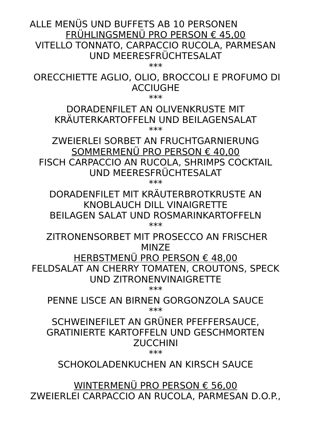ALLE MENÜS UND BUFFETS AB 10 PERSONEN FRÜHLINGSMENÜ PRO PERSON € 45,00 VITELLO TONNATO, CARPACCIO RUCOLA, PARMESAN UND MEERESFRÜCHTESALAT

\*\*\*

 ORECCHIETTE AGLIO, OLIO, BROCCOLI E PROFUMO DI ACCIUGHE

\*\*\*

### DORADENFILET AN OLIVENKRUSTE MIT KRÄUTERKARTOFFELN UND BEILAGENSALAT \*\*\*

ZWEIERLEI SORBET AN FRUCHTGARNIERUNG SOMMERMENÜ PRO PERSON € 40,00 FISCH CARPACCIO AN RUCOLA, SHRIMPS COCKTAIL UND MEERESFRÜCHTESALAT

\*\*\*

DORADENFILET MIT KRÄUTERBROTKRUSTE AN KNOBLAUCH DILL VINAIGRETTE BEILAGEN SALAT UND ROSMARINKARTOFFELN \*\*\*

 ZITRONENSORBET MIT PROSECCO AN FRISCHER MINZE

HERBSTMENÜ PRO PERSON € 48,00

FELDSALAT AN CHERRY TOMATEN, CROUTONS, SPECK UND ZITRONENVINAIGRETTE

\*\*\*

PENNE LISCE AN BIRNEN GORGONZOLA SAUCE \*\*\*

SCHWEINEFILET AN GRÜNER PFEFFERSAUCE, GRATINIERTE KARTOFFELN UND GESCHMORTEN ZUCCHINI

\*\*\*

SCHOKOLADENKUCHEN AN KIRSCH SAUCE

WINTERMENÜ PRO PERSON € 56,00 ZWEIERLEI CARPACCIO AN RUCOLA, PARMESAN D.O.P.,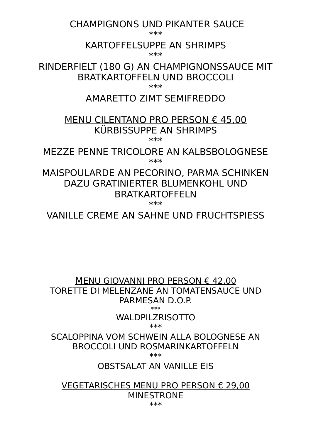CHAMPIGNONS UND PIKANTER SAUCE

\*\*\*

## KARTOFFELSUPPE AN SHRIMPS

\*\*\*

RINDERFIELT (180 G) AN CHAMPIGNONSSAUCE MIT BRATKARTOFFELN UND BROCCOLI

\*\*\*

### AMARETTO ZIMT SEMIFREDDO

### MENU CILENTANO PRO PERSON € 45,00 KÜRBISSUPPE AN SHRIMPS \*\*\*

MEZZE PENNE TRICOLORE AN KALBSBOLOGNESE \*\*\*

MAISPOULARDE AN PECORINO, PARMA SCHINKEN DAZU GRATINIERTER BLUMENKOHL UND BRATKARTOFFELN

\*\*\*

VANILLE CREME AN SAHNE UND FRUCHTSPIESS

MENU GIOVANNI PRO PERSON  $\epsilon$  42.00 TORETTE DI MELENZANE AN TOMATENSAUCE UND PARMESAN D.O.P. \*\*\*

WALDPILZRISOTTO

\*\*\*

SCALOPPINA VOM SCHWEIN ALLA BOLOGNESE AN BROCCOLI UND ROSMARINKARTOFFELN \*\*\*

OBSTSALAT AN VANILLE EIS

VEGETARISCHES MENU PRO PERSON € 29,00 MINESTRONE \*\*\*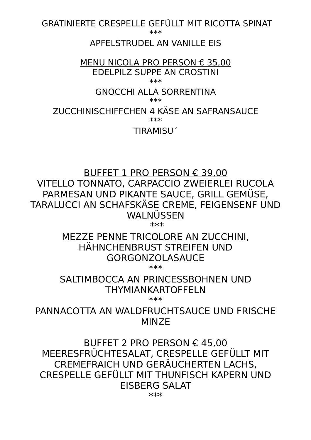GRATINIERTE CRESPELLE GEFÜLLT MIT RICOTTA SPINAT

\*\*\*

### APFELSTRUDEL AN VANILLE EIS

#### MENU NICOLA PRO PERSON € 35,00 EDELPILZ SUPPE AN CROSTINI \*\*\*

## GNOCCHI ALLA SORRENTINA

\*\*\*

ZUCCHINISCHIFFCHEN 4 KÄSE AN SAFRANSAUCE

\*\*\*

TIRAMISU´

BUFFET 1 PRO PERSON € 39,00 VITELLO TONNATO, CARPACCIO ZWEIERLEI RUCOLA PARMESAN UND PIKANTE SAUCE, GRILL GEMÜSE, TARALUCCI AN SCHAFSKÄSE CREME, FEIGENSENF UND WALNÜSSEN

\*\*\*

MEZZE PENNE TRICOLORE AN ZUCCHINI, HÄHNCHENBRUST STREIFEN UND GORGONZOLASAUCE

\*\*\*

## SALTIMBOCCA AN PRINCESSBOHNEN UND THYMIANKARTOFFELN

\*\*\*

PANNACOTTA AN WALDFRUCHTSAUCE UND FRISCHE MIN<sub>Z</sub>F

BUFFET 2 PRO PERSON € 45,00 MEERESFRÜCHTESALAT, CRESPELLE GEFÜLLT MIT CREMEFRAICH UND GERÄUCHERTEN LACHS, CRESPELLE GEFÜLLT MIT THUNFISCH KAPERN UND EISBERG SALAT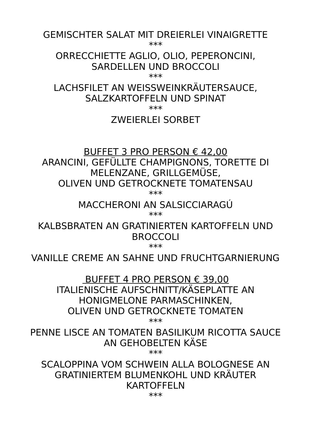GEMISCHTER SALAT MIT DREIERLEI VINAIGRETTE

\*\*\*

ORRECCHIETTE AGLIO, OLIO, PEPERONCINI, SARDELLEN UND BROCCOLL

\*\*\*

LACHSFILET AN WEISSWEINKRÄUTERSAUCE, SALZKARTOFFELN UND SPINAT

\*\*\*

## ZWEIERLEI SORBET

BUFFET 3 PRO PERSON  $\epsilon$  42.00 ARANCINI, GEFÜLLTE CHAMPIGNONS, TORETTE DI MELENZANE, GRILLGEMÜSE, OLIVEN UND GETROCKNETE TOMATENSAU \*\*\*

> MACCHERONI AN SALSICCIARAGÚ \*\*\*

KAI BSBRATEN AN GRATINIERTEN KARTOFFELN UND BROCCOLI

\*\*\*

VANILLE CREME AN SAHNE UND FRUCHTGARNIERUNG

 BUFFET 4 PRO PERSON € 39,00 ITALIENISCHE AUFSCHNITT/KÄSEPLATTE AN HONIGMELONE PARMASCHINKEN, OLIVEN UND GETROCKNETE TOMATEN

\*\*\*

PENNE LISCE AN TOMATEN BASILIKUM RICOTTA SAUCE AN GEHOBELTEN KÄSE

\*\*\*

SCALOPPINA VOM SCHWEIN ALLA BOLOGNESE AN GRATINIERTEM BLUMENKOHL UND KRÄUTER KARTOFFELN

\*\*\*